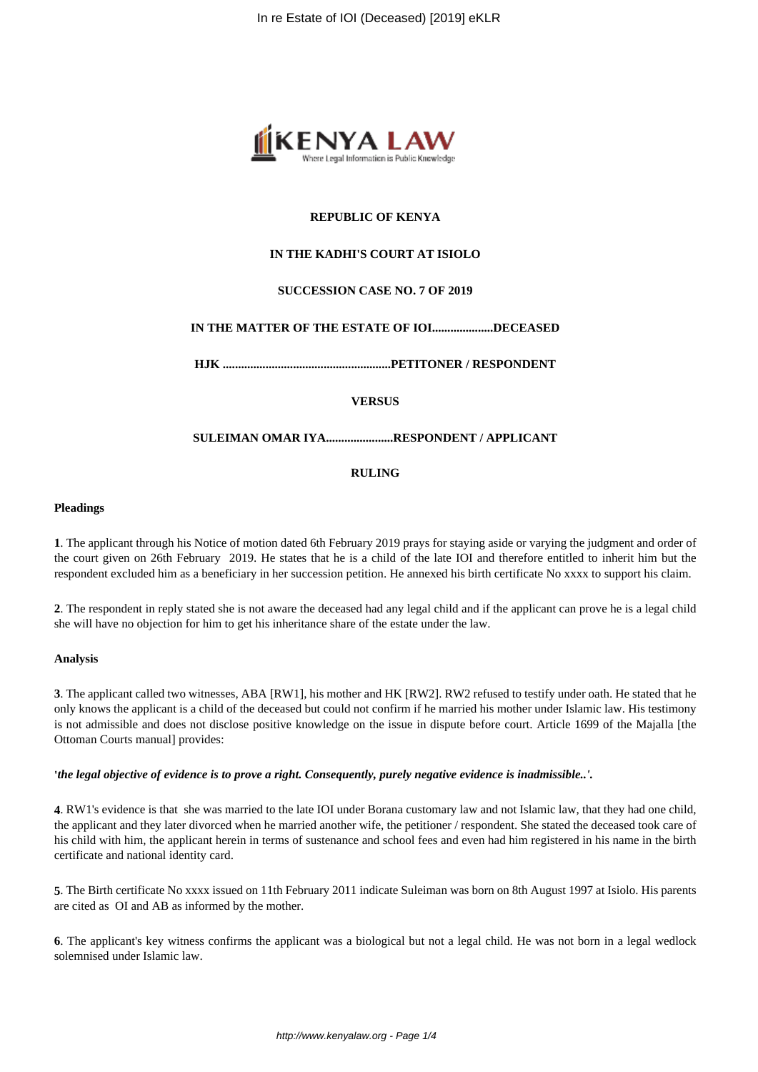

## **REPUBLIC OF KENYA**

## **IN THE KADHI'S COURT AT ISIOLO**

## **SUCCESSION CASE NO. 7 OF 2019**

## **IN THE MATTER OF THE ESTATE OF IOI....................DECEASED**

**HJK .......................................................PETITONER / RESPONDENT**

**VERSUS**

### **SULEIMAN OMAR IYA......................RESPONDENT / APPLICANT**

## **RULING**

### **Pleadings**

**1**. The applicant through his Notice of motion dated 6th February 2019 prays for staying aside or varying the judgment and order of the court given on 26th February 2019. He states that he is a child of the late IOI and therefore entitled to inherit him but the respondent excluded him as a beneficiary in her succession petition. He annexed his birth certificate No xxxx to support his claim.

**2**. The respondent in reply stated she is not aware the deceased had any legal child and if the applicant can prove he is a legal child she will have no objection for him to get his inheritance share of the estate under the law.

#### **Analysis**

**3**. The applicant called two witnesses, ABA [RW1], his mother and HK [RW2]. RW2 refused to testify under oath. He stated that he only knows the applicant is a child of the deceased but could not confirm if he married his mother under Islamic law. His testimony is not admissible and does not disclose positive knowledge on the issue in dispute before court. Article 1699 of the Majalla [the Ottoman Courts manual] provides:

#### **'***the legal objective of evidence is to prove a right. Consequently, purely negative evidence is inadmissible..'.*

**4**. RW1's evidence is that she was married to the late IOI under Borana customary law and not Islamic law, that they had one child, the applicant and they later divorced when he married another wife, the petitioner / respondent. She stated the deceased took care of his child with him, the applicant herein in terms of sustenance and school fees and even had him registered in his name in the birth certificate and national identity card.

**5**. The Birth certificate No xxxx issued on 11th February 2011 indicate Suleiman was born on 8th August 1997 at Isiolo. His parents are cited as OI and AB as informed by the mother.

**6**. The applicant's key witness confirms the applicant was a biological but not a legal child. He was not born in a legal wedlock solemnised under Islamic law.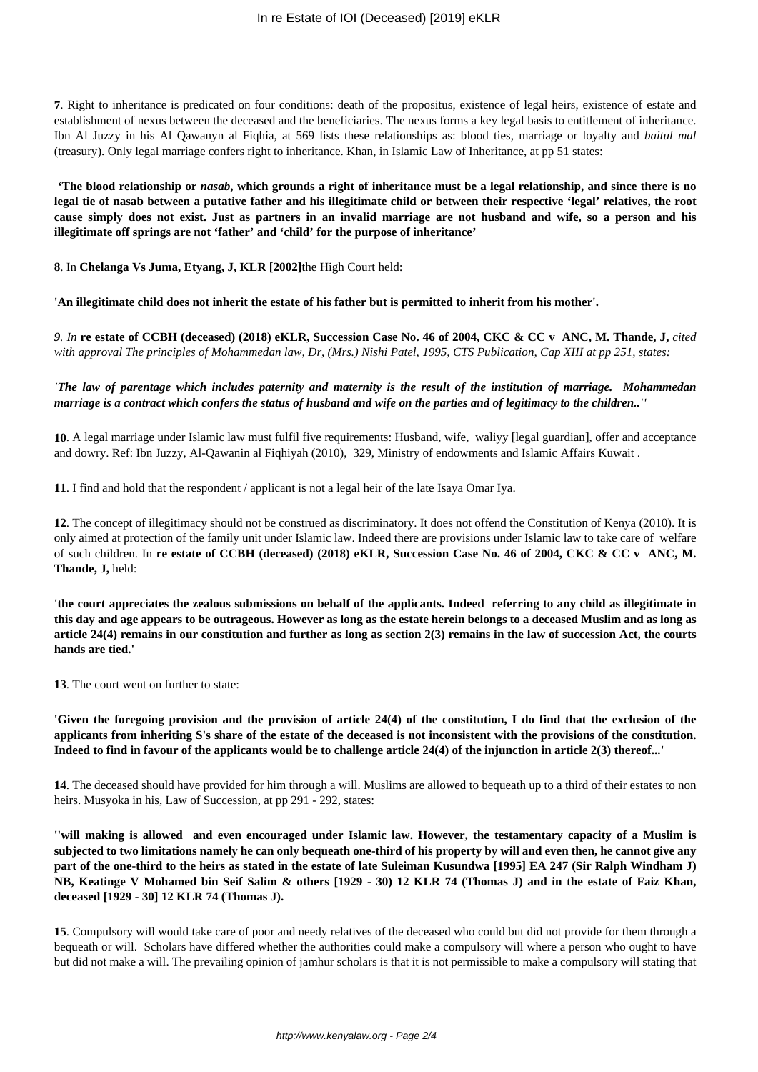**7**. Right to inheritance is predicated on four conditions: death of the propositus, existence of legal heirs, existence of estate and establishment of nexus between the deceased and the beneficiaries. The nexus forms a key legal basis to entitlement of inheritance. Ibn Al Juzzy in his Al Qawanyn al Fiqhia, at 569 lists these relationships as: blood ties, marriage or loyalty and *baitul mal* (treasury). Only legal marriage confers right to inheritance. Khan, in Islamic Law of Inheritance, at pp 51 states:

**'The blood relationship or** *nasab***, which grounds a right of inheritance must be a legal relationship, and since there is no legal tie of nasab between a putative father and his illegitimate child or between their respective 'legal' relatives, the root cause simply does not exist. Just as partners in an invalid marriage are not husband and wife, so a person and his illegitimate off springs are not 'father' and 'child' for the purpose of inheritance'** 

**8**. In **Chelanga Vs Juma, Etyang, J, KLR [2002]**the High Court held:

**'An illegitimate child does not inherit the estate of his father but is permitted to inherit from his mother'.**

*9. In* **re estate of CCBH (deceased) (2018) eKLR, Succession Case No. 46 of 2004, CKC & CC v ANC, M. Thande, J,** *cited with approval The principles of Mohammedan law, Dr, (Mrs.) Nishi Patel, 1995, CTS Publication, Cap XIII at pp 251, states:* 

*'The law of parentage which includes paternity and maternity is the result of the institution of marriage. Mohammedan marriage is a contract which confers the status of husband and wife on the parties and of legitimacy to the children..''*

**10**. A legal marriage under Islamic law must fulfil five requirements: Husband, wife, waliyy [legal guardian], offer and acceptance and dowry. Ref: Ibn Juzzy, Al-Qawanin al Fiqhiyah (2010), 329, Ministry of endowments and Islamic Affairs Kuwait .

**11**. I find and hold that the respondent / applicant is not a legal heir of the late Isaya Omar Iya.

**12**. The concept of illegitimacy should not be construed as discriminatory. It does not offend the Constitution of Kenya (2010). It is only aimed at protection of the family unit under Islamic law. Indeed there are provisions under Islamic law to take care of welfare of such children. In **re estate of CCBH (deceased) (2018) eKLR, Succession Case No. 46 of 2004, CKC & CC v ANC, M. Thande, J,** held:

**'the court appreciates the zealous submissions on behalf of the applicants. Indeed referring to any child as illegitimate in this day and age appears to be outrageous. However as long as the estate herein belongs to a deceased Muslim and as long as article 24(4) remains in our constitution and further as long as section 2(3) remains in the law of succession Act, the courts hands are tied.'** 

**13**. The court went on further to state:

**'Given the foregoing provision and the provision of article 24(4) of the constitution, I do find that the exclusion of the applicants from inheriting S's share of the estate of the deceased is not inconsistent with the provisions of the constitution. Indeed to find in favour of the applicants would be to challenge article 24(4) of the injunction in article 2(3) thereof...'**

**14**. The deceased should have provided for him through a will. Muslims are allowed to bequeath up to a third of their estates to non heirs. Musyoka in his, Law of Succession, at pp 291 - 292, states:

**''will making is allowed and even encouraged under Islamic law. However, the testamentary capacity of a Muslim is subjected to two limitations namely he can only bequeath one-third of his property by will and even then, he cannot give any part of the one-third to the heirs as stated in the estate of late Suleiman Kusundwa [1995] EA 247 (Sir Ralph Windham J) NB, Keatinge V Mohamed bin Seif Salim & others [1929 - 30) 12 KLR 74 (Thomas J) and in the estate of Faiz Khan, deceased [1929 - 30] 12 KLR 74 (Thomas J).**

**15**. Compulsory will would take care of poor and needy relatives of the deceased who could but did not provide for them through a bequeath or will. Scholars have differed whether the authorities could make a compulsory will where a person who ought to have but did not make a will. The prevailing opinion of jamhur scholars is that it is not permissible to make a compulsory will stating that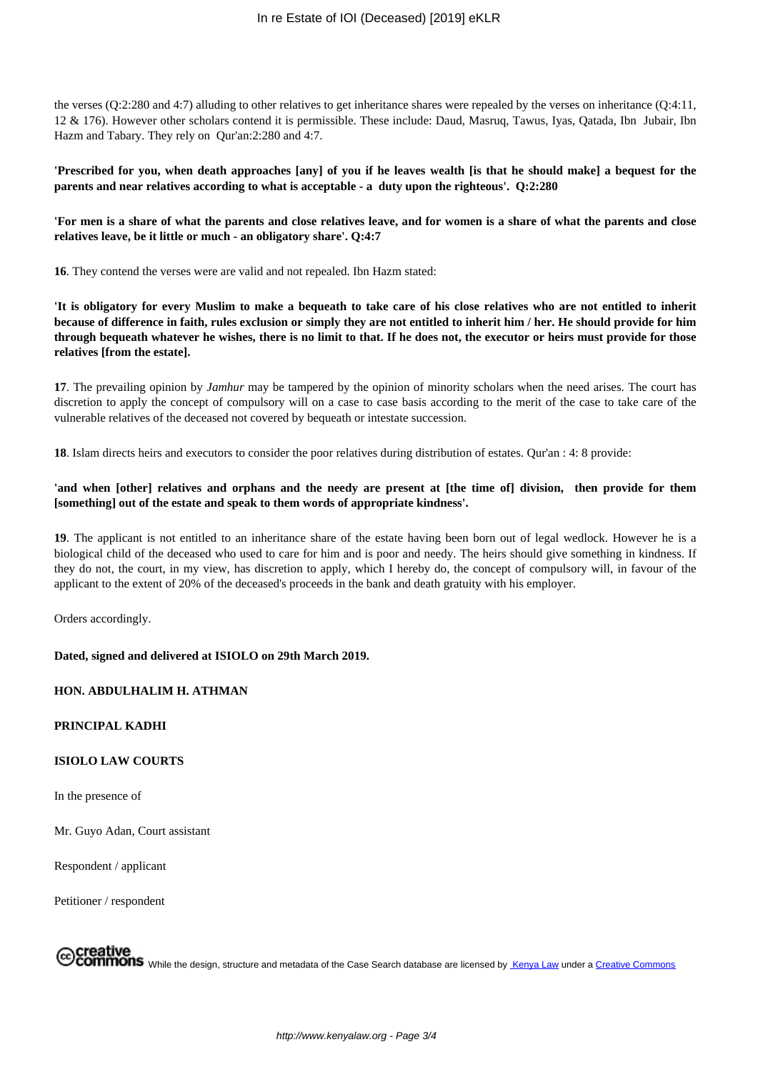the verses (Q:2:280 and 4:7) alluding to other relatives to get inheritance shares were repealed by the verses on inheritance (Q:4:11, 12 & 176). However other scholars contend it is permissible. These include: Daud, Masruq, Tawus, Iyas, Qatada, Ibn Jubair, Ibn Hazm and Tabary. They rely on Qur'an:2:280 and 4:7.

**'Prescribed for you, when death approaches [any] of you if he leaves wealth [is that he should make] a bequest for the parents and near relatives according to what is acceptable - a duty upon the righteous'. Q:2:280** 

**'For men is a share of what the parents and close relatives leave, and for women is a share of what the parents and close relatives leave, be it little or much - an obligatory share'. Q:4:7** 

**16**. They contend the verses were are valid and not repealed. Ibn Hazm stated:

**'It is obligatory for every Muslim to make a bequeath to take care of his close relatives who are not entitled to inherit because of difference in faith, rules exclusion or simply they are not entitled to inherit him / her. He should provide for him through bequeath whatever he wishes, there is no limit to that. If he does not, the executor or heirs must provide for those relatives [from the estate].** 

**17**. The prevailing opinion by *Jamhur* may be tampered by the opinion of minority scholars when the need arises. The court has discretion to apply the concept of compulsory will on a case to case basis according to the merit of the case to take care of the vulnerable relatives of the deceased not covered by bequeath or intestate succession.

**18**. Islam directs heirs and executors to consider the poor relatives during distribution of estates. Qur'an : 4: 8 provide:

## **'and when [other] relatives and orphans and the needy are present at [the time of] division, then provide for them [something] out of the estate and speak to them words of appropriate kindness'.**

**19**. The applicant is not entitled to an inheritance share of the estate having been born out of legal wedlock. However he is a biological child of the deceased who used to care for him and is poor and needy. The heirs should give something in kindness. If they do not, the court, in my view, has discretion to apply, which I hereby do, the concept of compulsory will, in favour of the applicant to the extent of 20% of the deceased's proceeds in the bank and death gratuity with his employer.

Orders accordingly.

#### **Dated, signed and delivered at ISIOLO on 29th March 2019.**

## **HON. ABDULHALIM H. ATHMAN**

**PRINCIPAL KADHI**

## **ISIOLO LAW COURTS**

In the presence of

Mr. Guyo Adan, Court assistant

Respondent / applicant

Petitioner / respondent

# Creative<br>COMMONS While the design, structure and metadata of the Case Search database are licensed by <u>Kenya Law</u> under a <u>Creative Commons</u>